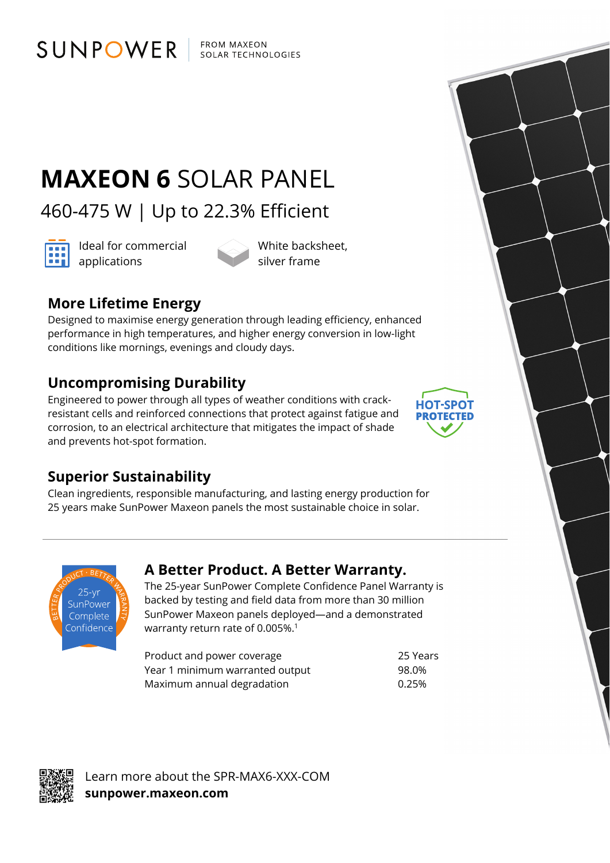FROM MAXEON SOLAR TECHNOLOGIES

# **MAXEON 6** SOLAR PANEL

460-475 W | Up to 22.3% Efficient



Ideal for commercial **and** Ideal for con

SUNPOWER

White backsheet, silver frame

### **More Lifetime Energy**

Designed to maximise energy generation through leading efficiency, enhanced performance in high temperatures, and higher energy conversion in low-light conditions like mornings, evenings and cloudy days.

### **Uncompromising Durability**

Engineered to power through all types of weather conditions with crackresistant cells and reinforced connections that protect against fatigue and corrosion, to an electrical architecture that mitigates the impact of shade and prevents hot-spot formation.



#### **Superior Sustainability**

Clean ingredients, responsible manufacturing, and lasting energy production for 25 years make SunPower Maxeon panels the most sustainable choice in solar.



#### **A Better Product. A Better Warranty.**

The 25-year SunPower Complete Confidence Panel Warranty is backed by testing and field data from more than 30 million SunPower Maxeon panels deployed—and a demonstrated warranty return rate of 0.005%.<sup>1</sup>

Product and power coverage 25 Years Year 1 minimum warranted output 98.0% Maximum annual degradation metal was made to 0.25%



Learn more about the SPR-MAX6-XXX-COM **sunpower.maxeon.com**